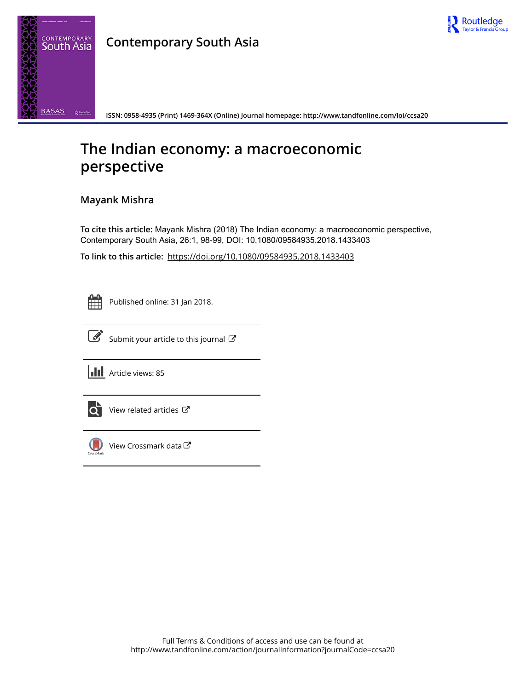

## **Contemporary South Asia**



**ISSN: 0958-4935 (Print) 1469-364X (Online) Journal homepage: <http://www.tandfonline.com/loi/ccsa20>**

## **The Indian economy: a macroeconomic perspective**

## **Mayank Mishra**

**To cite this article:** Mayank Mishra (2018) The Indian economy: a macroeconomic perspective, Contemporary South Asia, 26:1, 98-99, DOI: [10.1080/09584935.2018.1433403](http://www.tandfonline.com/action/showCitFormats?doi=10.1080/09584935.2018.1433403)

**To link to this article:** <https://doi.org/10.1080/09584935.2018.1433403>



Published online: 31 Jan 2018.



 $\overrightarrow{S}$  [Submit your article to this journal](http://www.tandfonline.com/action/authorSubmission?journalCode=ccsa20&show=instructions)  $\overrightarrow{S}$ 





[View related articles](http://www.tandfonline.com/doi/mlt/10.1080/09584935.2018.1433403) C



[View Crossmark data](http://crossmark.crossref.org/dialog/?doi=10.1080/09584935.2018.1433403&domain=pdf&date_stamp=2018-01-31)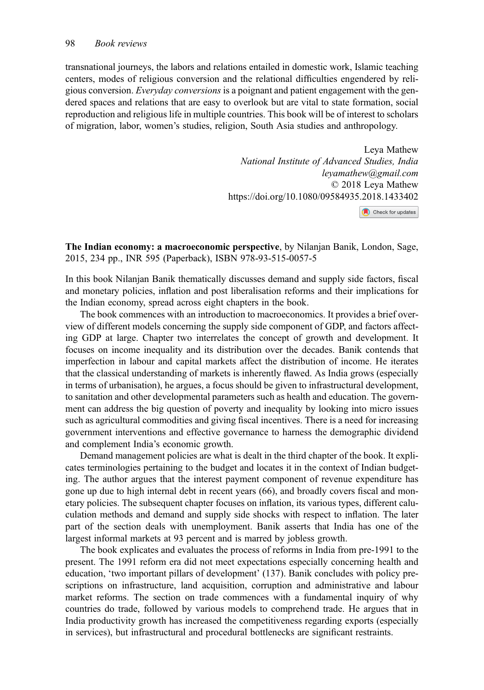transnational journeys, the labors and relations entailed in domestic work, Islamic teaching centers, modes of religious conversion and the relational difficulties engendered by religious conversion. Everyday conversions is a poignant and patient engagement with the gendered spaces and relations that are easy to overlook but are vital to state formation, social reproduction and religious life in multiple countries. This book will be of interest to scholars of migration, labor, women's studies, religion, South Asia studies and anthropology.

> Leya Mathew National Institute of Advanced Studies, India [leyamathew@gmail.com](mailto:leyamathew@gmail.com) © 2018 Leya Mathew https://doi.org/10.1080/09584935.2018.1433402 Check for updates

The Indian economy: a macroeconomic perspective, by Nilanjan Banik, London, Sage, 2015, 234 pp., INR 595 (Paperback), ISBN 978-93-515-0057-5

In this book Nilanjan Banik thematically discusses demand and supply side factors, fiscal and monetary policies, inflation and post liberalisation reforms and their implications for the Indian economy, spread across eight chapters in the book.

The book commences with an introduction to macroeconomics. It provides a brief overview of different models concerning the supply side component of GDP, and factors affecting GDP at large. Chapter two interrelates the concept of growth and development. It focuses on income inequality and its distribution over the decades. Banik contends that imperfection in labour and capital markets affect the distribution of income. He iterates that the classical understanding of markets is inherently flawed. As India grows (especially in terms of urbanisation), he argues, a focus should be given to infrastructural development, to sanitation and other developmental parameters such as health and education. The government can address the big question of poverty and inequality by looking into micro issues such as agricultural commodities and giving fiscal incentives. There is a need for increasing government interventions and effective governance to harness the demographic dividend and complement India's economic growth.

Demand management policies are what is dealt in the third chapter of the book. It explicates terminologies pertaining to the budget and locates it in the context of Indian budgeting. The author argues that the interest payment component of revenue expenditure has gone up due to high internal debt in recent years (66), and broadly covers fiscal and monetary policies. The subsequent chapter focuses on inflation, its various types, different caluculation methods and demand and supply side shocks with respect to inflation. The later part of the section deals with unemployment. Banik asserts that India has one of the largest informal markets at 93 percent and is marred by jobless growth.

The book explicates and evaluates the process of reforms in India from pre-1991 to the present. The 1991 reform era did not meet expectations especially concerning health and education, 'two important pillars of development' (137). Banik concludes with policy prescriptions on infrastructure, land acquisition, corruption and administrative and labour market reforms. The section on trade commences with a fundamental inquiry of why countries do trade, followed by various models to comprehend trade. He argues that in India productivity growth has increased the competitiveness regarding exports (especially in services), but infrastructural and procedural bottlenecks are significant restraints.